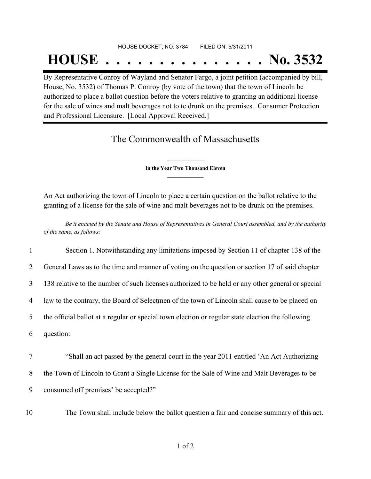## HOUSE DOCKET, NO. 3784 FILED ON: 5/31/2011

## **HOUSE . . . . . . . . . . . . . . . No. 3532**

By Representative Conroy of Wayland and Senator Fargo, a joint petition (accompanied by bill, House, No. 3532) of Thomas P. Conroy (by vote of the town) that the town of Lincoln be authorized to place a ballot question before the voters relative to granting an additional license for the sale of wines and malt beverages not to te drunk on the premises. Consumer Protection and Professional Licensure. [Local Approval Received.]

## The Commonwealth of Massachusetts

**\_\_\_\_\_\_\_\_\_\_\_\_\_\_\_ In the Year Two Thousand Eleven \_\_\_\_\_\_\_\_\_\_\_\_\_\_\_**

An Act authorizing the town of Lincoln to place a certain question on the ballot relative to the granting of a license for the sale of wine and malt beverages not to be drunk on the premises.

Be it enacted by the Senate and House of Representatives in General Court assembled, and by the authority *of the same, as follows:*

| $\mathbf{1}$   | Section 1. Notwithstanding any limitations imposed by Section 11 of chapter 138 of the            |
|----------------|---------------------------------------------------------------------------------------------------|
| $\overline{2}$ | General Laws as to the time and manner of voting on the question or section 17 of said chapter    |
| 3              | 138 relative to the number of such licenses authorized to be held or any other general or special |
| 4              | law to the contrary, the Board of Selectmen of the town of Lincoln shall cause to be placed on    |
| 5              | the official ballot at a regular or special town election or regular state election the following |
| 6              | question:                                                                                         |
| $\overline{7}$ | "Shall an act passed by the general court in the year 2011 entitled 'An Act Authorizing           |
| 8              | the Town of Lincoln to Grant a Single License for the Sale of Wine and Malt Beverages to be       |
| 9              | consumed off premises' be accepted?"                                                              |

10 The Town shall include below the ballot question a fair and concise summary of this act.